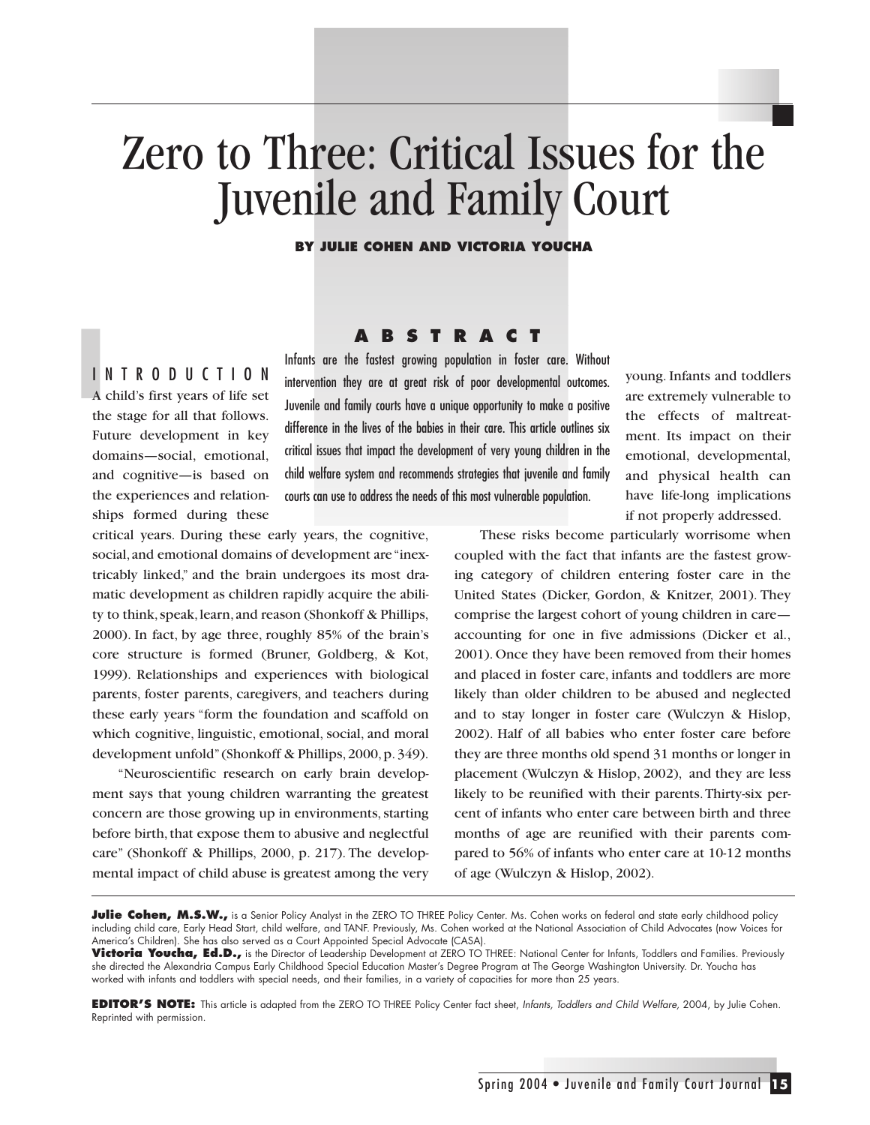# Zero to Three: Critical Issues for the Juvenile and Family Court

**BY JULIE COHEN AND VICTORIA YOUCHA**

#### INTRODUCTION

 $\frac{1}{A}$ A child's first years of life set the stage for all that follows. Future development in key domains—social, emotional, and cognitive—is based on the experiences and relationships formed during these

# **ABSTRACT**

Infants are the fastest growing population in foster care. Without intervention they are at great risk of poor developmental outcomes. Juvenile and family courts have a unique opportunity to make a positive difference in the lives of the babies in their care. This article outlines six critical issues that impact the development of very young children in the child welfare system and recommends strategies that juvenile and family courts can use to address the needs of this most vulnerable population.

critical years. During these early years, the cognitive, social,and emotional domains of development are "inextricably linked," and the brain undergoes its most dramatic development as children rapidly acquire the ability to think, speak, learn, and reason (Shonkoff & Phillips, 2000). In fact, by age three, roughly 85% of the brain's core structure is formed (Bruner, Goldberg, & Kot, 1999). Relationships and experiences with biological parents, foster parents, caregivers, and teachers during these early years "form the foundation and scaffold on which cognitive, linguistic, emotional, social, and moral development unfold"(Shonkoff & Phillips,2000,p.349).

"Neuroscientific research on early brain development says that young children warranting the greatest concern are those growing up in environments, starting before birth, that expose them to abusive and neglectful care" (Shonkoff & Phillips, 2000, p. 217). The developmental impact of child abuse is greatest among the very young. Infants and toddlers are extremely vulnerable to the effects of maltreatment. Its impact on their emotional, developmental, and physical health can have life-long implications if not properly addressed.

These risks become particularly worrisome when coupled with the fact that infants are the fastest growing category of children entering foster care in the United States (Dicker, Gordon, & Knitzer, 2001). They comprise the largest cohort of young children in care accounting for one in five admissions (Dicker et al., 2001). Once they have been removed from their homes and placed in foster care, infants and toddlers are more likely than older children to be abused and neglected and to stay longer in foster care (Wulczyn & Hislop, 2002). Half of all babies who enter foster care before they are three months old spend 31 months or longer in placement (Wulczyn & Hislop, 2002), and they are less likely to be reunified with their parents.Thirty-six percent of infants who enter care between birth and three months of age are reunified with their parents compared to 56% of infants who enter care at 10-12 months of age (Wulczyn & Hislop, 2002).

**EDITOR'S NOTE:** This article is adapted from the ZERO TO THREE Policy Center fact sheet, *Infants, Toddlers and Child Welfare,* 2004, by Julie Cohen. Reprinted with permission.

**Julie Cohen, M.S.W.,** is a Senior Policy Analyst in the ZERO TO THREE Policy Center. Ms. Cohen works on federal and state early childhood policy including child care, Early Head Start, child welfare, and TANF. Previously, Ms. Cohen worked at the National Association of Child Advocates (now Voices for America's Children). She has also served as a Court Appointed Special Advocate (CASA).

**Victoria Youcha, Ed.D.,** is the Director of Leadership Development at ZERO TO THREE: National Center for Infants, Toddlers and Families. Previously she directed the Alexandria Campus Early Childhood Special Education Master's Degree Program at The George Washington University. Dr. Youcha has worked with infants and toddlers with special needs, and their families, in a variety of capacities for more than 25 years.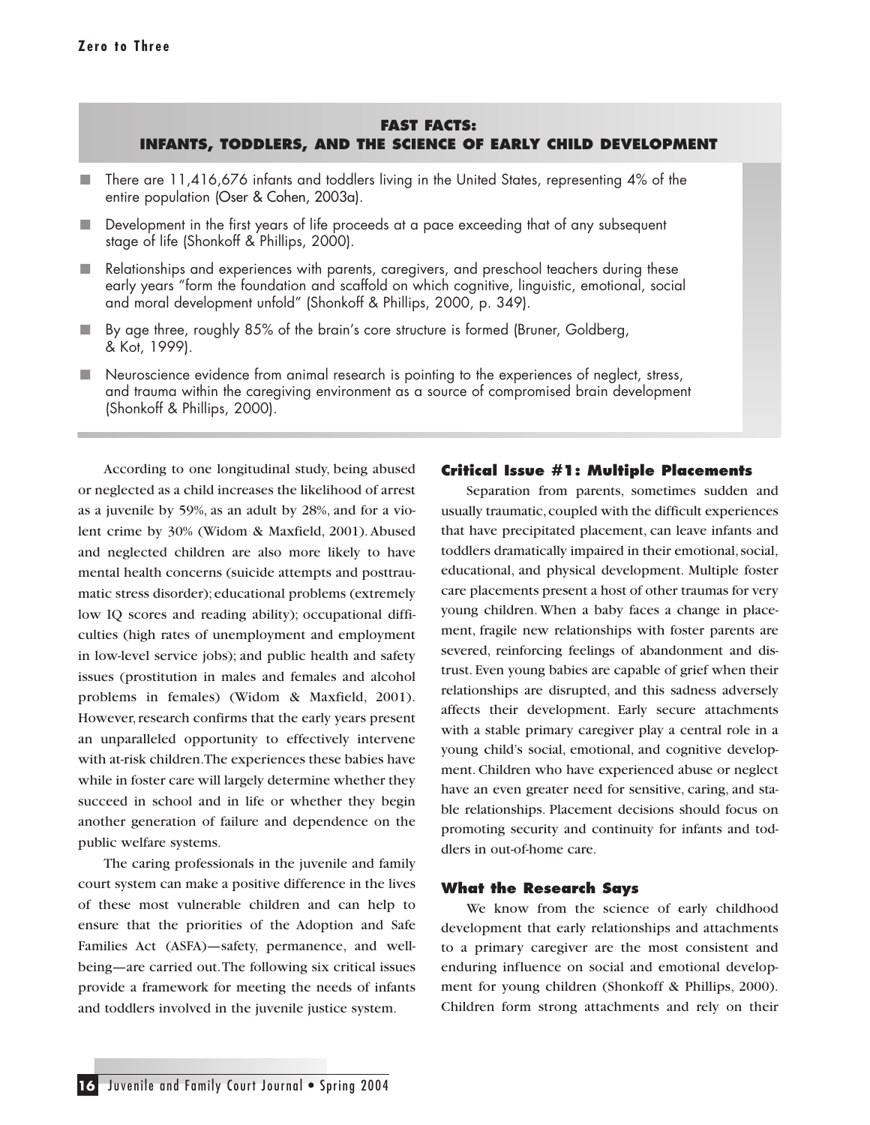### **FAST FACTS: INFANTS, TODDLERS, AND THE SCIENCE OF EARLY CHILD DEVELOPMENT**

- There are 11,416,676 infants and toddlers living in the United States, representing 4% of the entire population (Oser & Cohen, 2003a).
- Development in the first years of life proceeds at a pace exceeding that of any subsequent stage of life (Shonkoff & Phillips, 2000).
- Relationships and experiences with parents, caregivers, and preschool teachers during these early years "form the foundation and scaffold on which cognitive, linguistic, emotional, social and moral development unfold" (Shonkoff & Phillips, 2000, p. 349).
- By age three, roughly 85% of the brain's core structure is formed (Bruner, Goldberg, & Kot, 1999).
- Neuroscience evidence from animal research is pointing to the experiences of neglect, stress, and trauma within the caregiving environment as a source of compromised brain development (Shonkoff & Phillips, 2000).

According to one longitudinal study, being abused or neglected as a child increases the likelihood of arrest as a juvenile by 59%, as an adult by 28%, and for a violent crime by 30% (Widom & Maxfield, 2001). Abused and neglected children are also more likely to have mental health concerns (suicide attempts and posttraumatic stress disorder); educational problems (extremely low IQ scores and reading ability); occupational difficulties (high rates of unemployment and employment in low-level service jobs); and public health and safety issues (prostitution in males and females and alcohol problems in females) (Widom & Maxfield, 2001). However, research confirms that the early years present an unparalleled opportunity to effectively intervene with at-risk children.The experiences these babies have while in foster care will largely determine whether they succeed in school and in life or whether they begin another generation of failure and dependence on the public welfare systems.

The caring professionals in the juvenile and family court system can make a positive difference in the lives of these most vulnerable children and can help to ensure that the priorities of the Adoption and Safe Families Act (ASFA)—safety, permanence, and wellbeing—are carried out.The following six critical issues provide a framework for meeting the needs of infants and toddlers involved in the juvenile justice system.

#### **Critical Issue #1: Multiple Placements**

Separation from parents, sometimes sudden and usually traumatic, coupled with the difficult experiences that have precipitated placement, can leave infants and toddlers dramatically impaired in their emotional,social, educational, and physical development. Multiple foster care placements present a host of other traumas for very young children. When a baby faces a change in placement, fragile new relationships with foster parents are severed, reinforcing feelings of abandonment and distrust. Even young babies are capable of grief when their relationships are disrupted, and this sadness adversely affects their development. Early secure attachments with a stable primary caregiver play a central role in a young child's social, emotional, and cognitive development. Children who have experienced abuse or neglect have an even greater need for sensitive, caring, and stable relationships. Placement decisions should focus on promoting security and continuity for infants and toddlers in out-of-home care.

#### **What the Research Says**

We know from the science of early childhood development that early relationships and attachments to a primary caregiver are the most consistent and enduring influence on social and emotional development for young children (Shonkoff & Phillips, 2000). Children form strong attachments and rely on their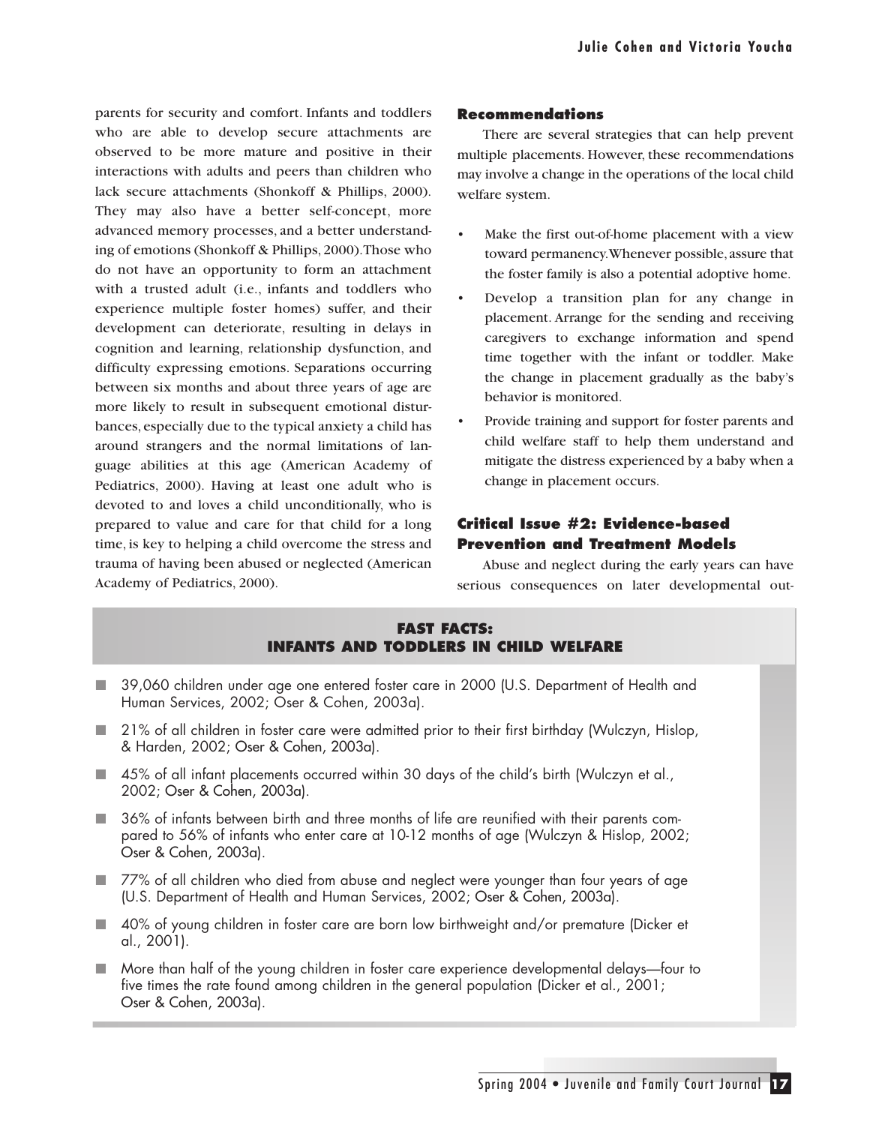parents for security and comfort. Infants and toddlers who are able to develop secure attachments are observed to be more mature and positive in their interactions with adults and peers than children who lack secure attachments (Shonkoff & Phillips, 2000). They may also have a better self-concept, more advanced memory processes, and a better understanding of emotions (Shonkoff & Phillips,2000).Those who do not have an opportunity to form an attachment with a trusted adult (i.e., infants and toddlers who experience multiple foster homes) suffer, and their development can deteriorate, resulting in delays in cognition and learning, relationship dysfunction, and difficulty expressing emotions. Separations occurring between six months and about three years of age are more likely to result in subsequent emotional disturbances, especially due to the typical anxiety a child has around strangers and the normal limitations of language abilities at this age (American Academy of Pediatrics, 2000). Having at least one adult who is devoted to and loves a child unconditionally, who is prepared to value and care for that child for a long time, is key to helping a child overcome the stress and trauma of having been abused or neglected (American Academy of Pediatrics, 2000).

#### **Recommendations**

There are several strategies that can help prevent multiple placements. However, these recommendations may involve a change in the operations of the local child welfare system.

- Make the first out-of-home placement with a view toward permanency. Whenever possible, assure that the foster family is also a potential adoptive home.
- Develop a transition plan for any change in placement. Arrange for the sending and receiving caregivers to exchange information and spend time together with the infant or toddler. Make the change in placement gradually as the baby's behavior is monitored.
- Provide training and support for foster parents and child welfare staff to help them understand and mitigate the distress experienced by a baby when a change in placement occurs.

# **Critical Issue #2: Evidence-based Prevention and Treatment Models**

Abuse and neglect during the early years can have serious consequences on later developmental out-

#### **FAST FACTS: INFANTS AND TODDLERS IN CHILD WELFARE**

- 39,060 children under age one entered foster care in 2000 (U.S. Department of Health and Human Services, 2002; Oser & Cohen, 2003a).
- 21% of all children in foster care were admitted prior to their first birthday (Wulczyn, Hislop, & Harden, 2002; Oser & Cohen, 2003a).
- 45% of all infant placements occurred within 30 days of the child's birth (Wulczyn et al., 2002; Oser & Cohen, 2003a).
- 36% of infants between birth and three months of life are reunified with their parents compared to 56% of infants who enter care at 10-12 months of age (Wulczyn & Hislop, 2002; Oser & Cohen, 2003a).
- 77% of all children who died from abuse and neglect were younger than four years of age (U.S. Department of Health and Human Services, 2002; Oser & Cohen, 2003a).
- 40% of young children in foster care are born low birthweight and/or premature (Dicker et al., 2001).
- More than half of the young children in foster care experience developmental delays—four to five times the rate found among children in the general population (Dicker et al., 2001; Oser & Cohen, 2003a).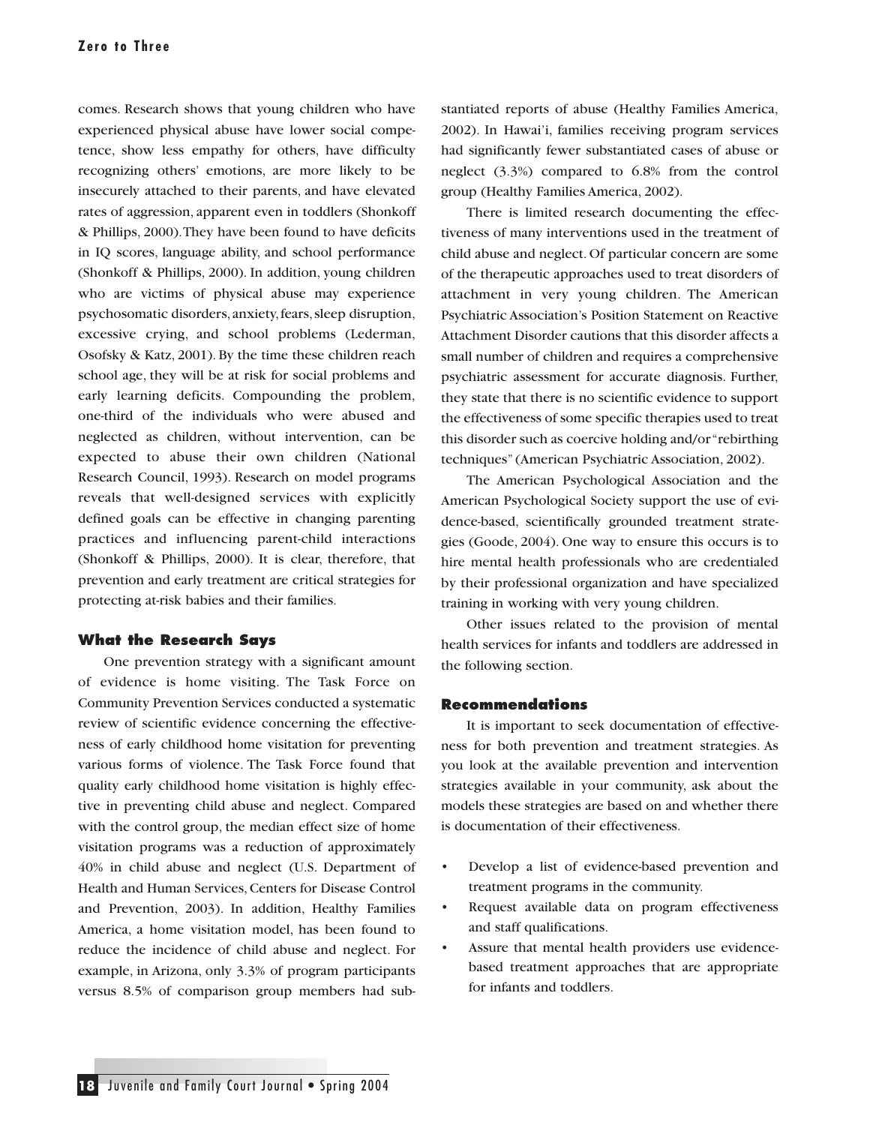#### **Zero to Three**

comes. Research shows that young children who have experienced physical abuse have lower social competence, show less empathy for others, have difficulty recognizing others' emotions, are more likely to be insecurely attached to their parents, and have elevated rates of aggression, apparent even in toddlers (Shonkoff & Phillips, 2000).They have been found to have deficits in IQ scores, language ability, and school performance (Shonkoff & Phillips, 2000). In addition, young children who are victims of physical abuse may experience psychosomatic disorders,anxiety,fears,sleep disruption, excessive crying, and school problems (Lederman, Osofsky & Katz, 2001). By the time these children reach school age, they will be at risk for social problems and early learning deficits. Compounding the problem, one-third of the individuals who were abused and neglected as children, without intervention, can be expected to abuse their own children (National Research Council, 1993). Research on model programs reveals that well-designed services with explicitly defined goals can be effective in changing parenting practices and influencing parent-child interactions (Shonkoff & Phillips, 2000). It is clear, therefore, that prevention and early treatment are critical strategies for protecting at-risk babies and their families.

#### **What the Research Says**

One prevention strategy with a significant amount of evidence is home visiting. The Task Force on Community Prevention Services conducted a systematic review of scientific evidence concerning the effectiveness of early childhood home visitation for preventing various forms of violence. The Task Force found that quality early childhood home visitation is highly effective in preventing child abuse and neglect. Compared with the control group, the median effect size of home visitation programs was a reduction of approximately 40% in child abuse and neglect (U.S. Department of Health and Human Services, Centers for Disease Control and Prevention, 2003). In addition, Healthy Families America, a home visitation model, has been found to reduce the incidence of child abuse and neglect. For example, in Arizona, only 3.3% of program participants versus 8.5% of comparison group members had substantiated reports of abuse (Healthy Families America, 2002). In Hawai'i, families receiving program services had significantly fewer substantiated cases of abuse or neglect (3.3%) compared to 6.8% from the control group (Healthy Families America, 2002).

There is limited research documenting the effectiveness of many interventions used in the treatment of child abuse and neglect. Of particular concern are some of the therapeutic approaches used to treat disorders of attachment in very young children. The American Psychiatric Association's Position Statement on Reactive Attachment Disorder cautions that this disorder affects a small number of children and requires a comprehensive psychiatric assessment for accurate diagnosis. Further, they state that there is no scientific evidence to support the effectiveness of some specific therapies used to treat this disorder such as coercive holding and/or "rebirthing techniques" (American Psychiatric Association, 2002).

The American Psychological Association and the American Psychological Society support the use of evidence-based, scientifically grounded treatment strategies (Goode, 2004). One way to ensure this occurs is to hire mental health professionals who are credentialed by their professional organization and have specialized training in working with very young children.

Other issues related to the provision of mental health services for infants and toddlers are addressed in the following section.

#### **Recommendations**

It is important to seek documentation of effectiveness for both prevention and treatment strategies. As you look at the available prevention and intervention strategies available in your community, ask about the models these strategies are based on and whether there is documentation of their effectiveness.

- Develop a list of evidence-based prevention and treatment programs in the community.
- Request available data on program effectiveness and staff qualifications.
- Assure that mental health providers use evidencebased treatment approaches that are appropriate for infants and toddlers.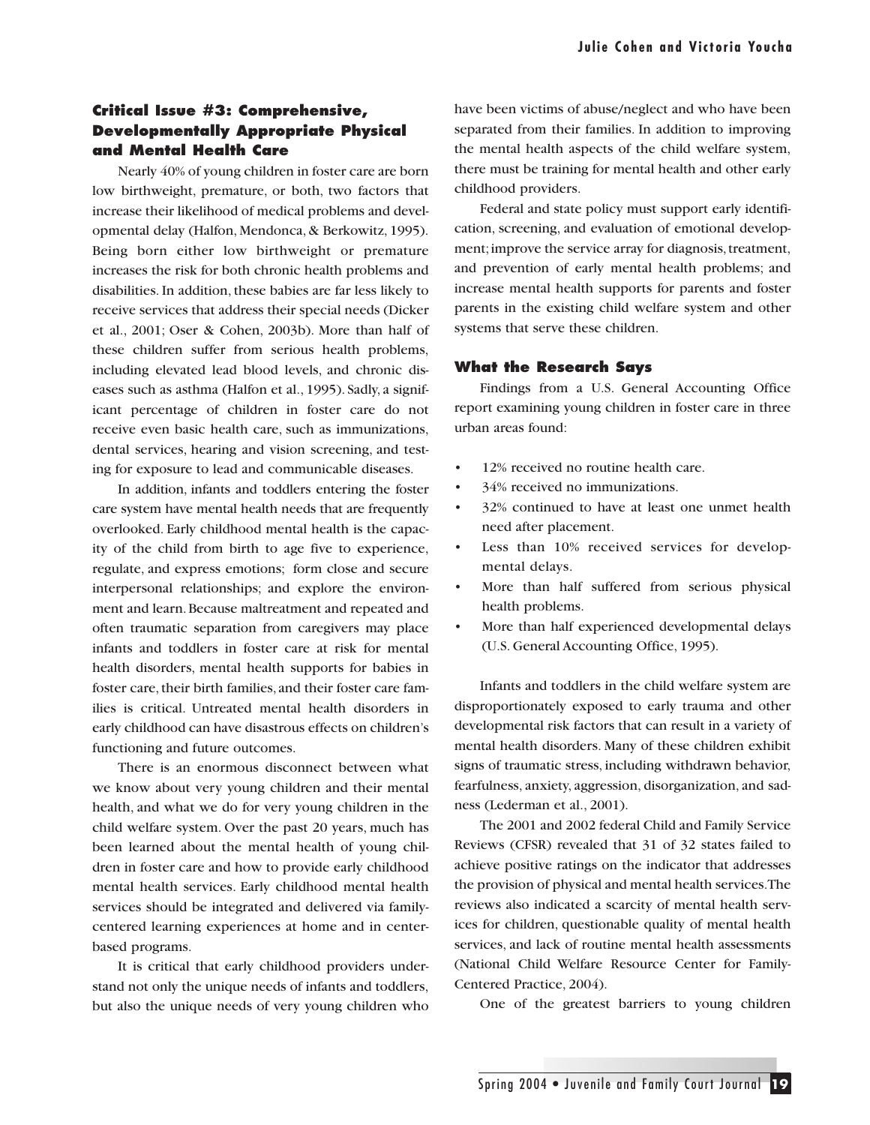# **Critical Issue #3: Comprehensive, Developmentally Appropriate Physical and Mental Health Care**

Nearly 40% of young children in foster care are born low birthweight, premature, or both, two factors that increase their likelihood of medical problems and developmental delay (Halfon, Mendonca, & Berkowitz, 1995). Being born either low birthweight or premature increases the risk for both chronic health problems and disabilities. In addition, these babies are far less likely to receive services that address their special needs (Dicker et al., 2001; Oser & Cohen, 2003b). More than half of these children suffer from serious health problems, including elevated lead blood levels, and chronic diseases such as asthma (Halfon et al., 1995). Sadly, a significant percentage of children in foster care do not receive even basic health care, such as immunizations, dental services, hearing and vision screening, and testing for exposure to lead and communicable diseases.

In addition, infants and toddlers entering the foster care system have mental health needs that are frequently overlooked. Early childhood mental health is the capacity of the child from birth to age five to experience, regulate, and express emotions; form close and secure interpersonal relationships; and explore the environment and learn.Because maltreatment and repeated and often traumatic separation from caregivers may place infants and toddlers in foster care at risk for mental health disorders, mental health supports for babies in foster care, their birth families, and their foster care families is critical. Untreated mental health disorders in early childhood can have disastrous effects on children's functioning and future outcomes.

There is an enormous disconnect between what we know about very young children and their mental health, and what we do for very young children in the child welfare system. Over the past 20 years, much has been learned about the mental health of young children in foster care and how to provide early childhood mental health services. Early childhood mental health services should be integrated and delivered via familycentered learning experiences at home and in centerbased programs.

It is critical that early childhood providers understand not only the unique needs of infants and toddlers, but also the unique needs of very young children who

have been victims of abuse/neglect and who have been separated from their families. In addition to improving the mental health aspects of the child welfare system, there must be training for mental health and other early childhood providers.

Federal and state policy must support early identification, screening, and evaluation of emotional development; improve the service array for diagnosis, treatment, and prevention of early mental health problems; and increase mental health supports for parents and foster parents in the existing child welfare system and other systems that serve these children.

#### **What the Research Says**

Findings from a U.S. General Accounting Office report examining young children in foster care in three urban areas found:

- 12% received no routine health care.
- 34% received no immunizations.
- 32% continued to have at least one unmet health need after placement.
- Less than 10% received services for developmental delays.
- More than half suffered from serious physical health problems.
- More than half experienced developmental delays (U.S. General Accounting Office, 1995).

Infants and toddlers in the child welfare system are disproportionately exposed to early trauma and other developmental risk factors that can result in a variety of mental health disorders. Many of these children exhibit signs of traumatic stress, including withdrawn behavior, fearfulness, anxiety, aggression, disorganization, and sadness (Lederman et al., 2001).

The 2001 and 2002 federal Child and Family Service Reviews (CFSR) revealed that 31 of 32 states failed to achieve positive ratings on the indicator that addresses the provision of physical and mental health services.The reviews also indicated a scarcity of mental health services for children, questionable quality of mental health services, and lack of routine mental health assessments (National Child Welfare Resource Center for Family-Centered Practice, 2004).

One of the greatest barriers to young children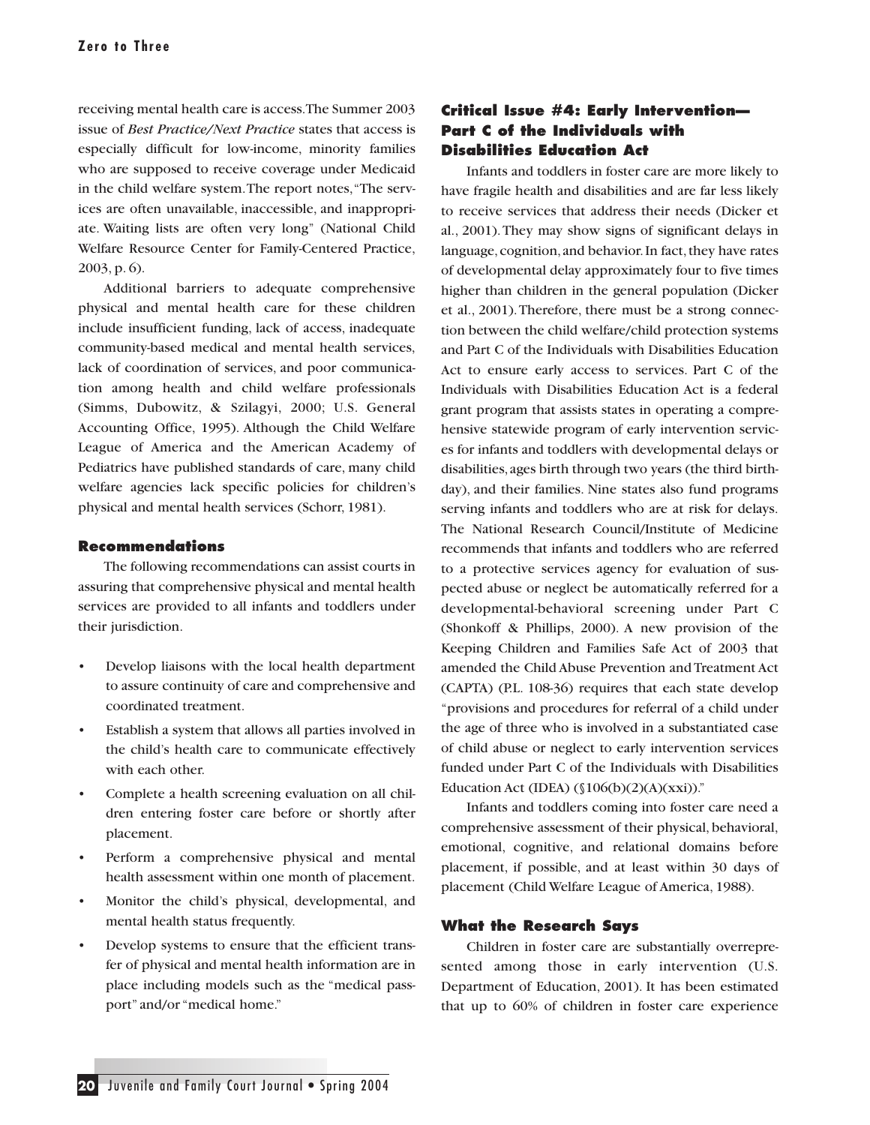receiving mental health care is access.The Summer 2003 issue of *Best Practice/Next Practice* states that access is especially difficult for low-income, minority families who are supposed to receive coverage under Medicaid in the child welfare system.The report notes,"The services are often unavailable, inaccessible, and inappropriate. Waiting lists are often very long" (National Child Welfare Resource Center for Family-Centered Practice, 2003, p. 6).

Additional barriers to adequate comprehensive physical and mental health care for these children include insufficient funding, lack of access, inadequate community-based medical and mental health services, lack of coordination of services, and poor communication among health and child welfare professionals (Simms, Dubowitz, & Szilagyi, 2000; U.S. General Accounting Office, 1995). Although the Child Welfare League of America and the American Academy of Pediatrics have published standards of care, many child welfare agencies lack specific policies for children's physical and mental health services (Schorr, 1981).

#### **Recommendations**

The following recommendations can assist courts in assuring that comprehensive physical and mental health services are provided to all infants and toddlers under their jurisdiction.

- Develop liaisons with the local health department to assure continuity of care and comprehensive and coordinated treatment.
- Establish a system that allows all parties involved in the child's health care to communicate effectively with each other.
- Complete a health screening evaluation on all children entering foster care before or shortly after placement.
- Perform a comprehensive physical and mental health assessment within one month of placement.
- Monitor the child's physical, developmental, and mental health status frequently.
- Develop systems to ensure that the efficient transfer of physical and mental health information are in place including models such as the "medical passport" and/or "medical home."

# **Critical Issue #4: Early Intervention— Part C of the Individuals with Disabilities Education Act**

Infants and toddlers in foster care are more likely to have fragile health and disabilities and are far less likely to receive services that address their needs (Dicker et al., 2001).They may show signs of significant delays in language, cognition, and behavior. In fact, they have rates of developmental delay approximately four to five times higher than children in the general population (Dicker et al., 2001).Therefore, there must be a strong connection between the child welfare/child protection systems and Part C of the Individuals with Disabilities Education Act to ensure early access to services. Part C of the Individuals with Disabilities Education Act is a federal grant program that assists states in operating a comprehensive statewide program of early intervention services for infants and toddlers with developmental delays or disabilities,ages birth through two years (the third birthday), and their families. Nine states also fund programs serving infants and toddlers who are at risk for delays. The National Research Council/Institute of Medicine recommends that infants and toddlers who are referred to a protective services agency for evaluation of suspected abuse or neglect be automatically referred for a developmental-behavioral screening under Part C (Shonkoff & Phillips, 2000). A new provision of the Keeping Children and Families Safe Act of 2003 that amended the Child Abuse Prevention and Treatment Act (CAPTA) (P.L. 108-36) requires that each state develop "provisions and procedures for referral of a child under the age of three who is involved in a substantiated case of child abuse or neglect to early intervention services funded under Part C of the Individuals with Disabilities Education Act (IDEA)  $(\{106(b)(2)(A)(xxi))\}$ ."

Infants and toddlers coming into foster care need a comprehensive assessment of their physical, behavioral, emotional, cognitive, and relational domains before placement, if possible, and at least within 30 days of placement (Child Welfare League of America, 1988).

#### **What the Research Says**

Children in foster care are substantially overrepresented among those in early intervention (U.S. Department of Education, 2001). It has been estimated that up to 60% of children in foster care experience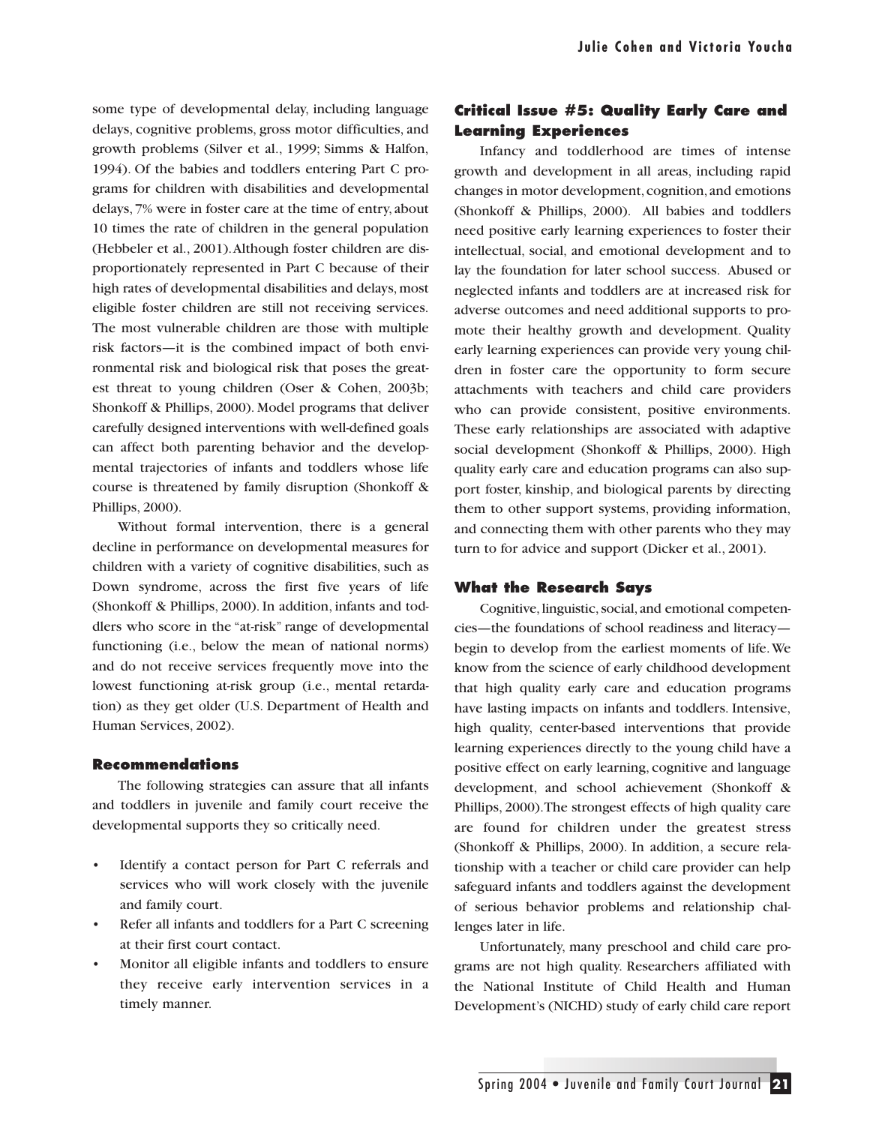some type of developmental delay, including language delays, cognitive problems, gross motor difficulties, and growth problems (Silver et al., 1999; Simms & Halfon, 1994). Of the babies and toddlers entering Part C programs for children with disabilities and developmental delays, 7% were in foster care at the time of entry, about 10 times the rate of children in the general population (Hebbeler et al., 2001).Although foster children are disproportionately represented in Part C because of their high rates of developmental disabilities and delays, most eligible foster children are still not receiving services. The most vulnerable children are those with multiple risk factors—it is the combined impact of both environmental risk and biological risk that poses the greatest threat to young children (Oser & Cohen, 2003b; Shonkoff & Phillips, 2000). Model programs that deliver carefully designed interventions with well-defined goals can affect both parenting behavior and the developmental trajectories of infants and toddlers whose life course is threatened by family disruption (Shonkoff & Phillips, 2000).

Without formal intervention, there is a general decline in performance on developmental measures for children with a variety of cognitive disabilities, such as Down syndrome, across the first five years of life (Shonkoff & Phillips, 2000). In addition, infants and toddlers who score in the "at-risk" range of developmental functioning (i.e., below the mean of national norms) and do not receive services frequently move into the lowest functioning at-risk group (i.e., mental retardation) as they get older (U.S. Department of Health and Human Services, 2002).

#### **Recommendations**

The following strategies can assure that all infants and toddlers in juvenile and family court receive the developmental supports they so critically need.

- Identify a contact person for Part C referrals and services who will work closely with the juvenile and family court.
- Refer all infants and toddlers for a Part C screening at their first court contact.
- Monitor all eligible infants and toddlers to ensure they receive early intervention services in a timely manner.

# **Critical Issue #5: Quality Early Care and Learning Experiences**

Infancy and toddlerhood are times of intense growth and development in all areas, including rapid changes in motor development,cognition,and emotions (Shonkoff & Phillips, 2000). All babies and toddlers need positive early learning experiences to foster their intellectual, social, and emotional development and to lay the foundation for later school success. Abused or neglected infants and toddlers are at increased risk for adverse outcomes and need additional supports to promote their healthy growth and development. Quality early learning experiences can provide very young children in foster care the opportunity to form secure attachments with teachers and child care providers who can provide consistent, positive environments. These early relationships are associated with adaptive social development (Shonkoff & Phillips, 2000). High quality early care and education programs can also support foster, kinship, and biological parents by directing them to other support systems, providing information, and connecting them with other parents who they may turn to for advice and support (Dicker et al., 2001).

#### **What the Research Says**

Cognitive, linguistic, social, and emotional competencies—the foundations of school readiness and literacy begin to develop from the earliest moments of life.We know from the science of early childhood development that high quality early care and education programs have lasting impacts on infants and toddlers. Intensive, high quality, center-based interventions that provide learning experiences directly to the young child have a positive effect on early learning, cognitive and language development, and school achievement (Shonkoff & Phillips, 2000).The strongest effects of high quality care are found for children under the greatest stress (Shonkoff & Phillips, 2000). In addition, a secure relationship with a teacher or child care provider can help safeguard infants and toddlers against the development of serious behavior problems and relationship challenges later in life.

Unfortunately, many preschool and child care programs are not high quality. Researchers affiliated with the National Institute of Child Health and Human Development's (NICHD) study of early child care report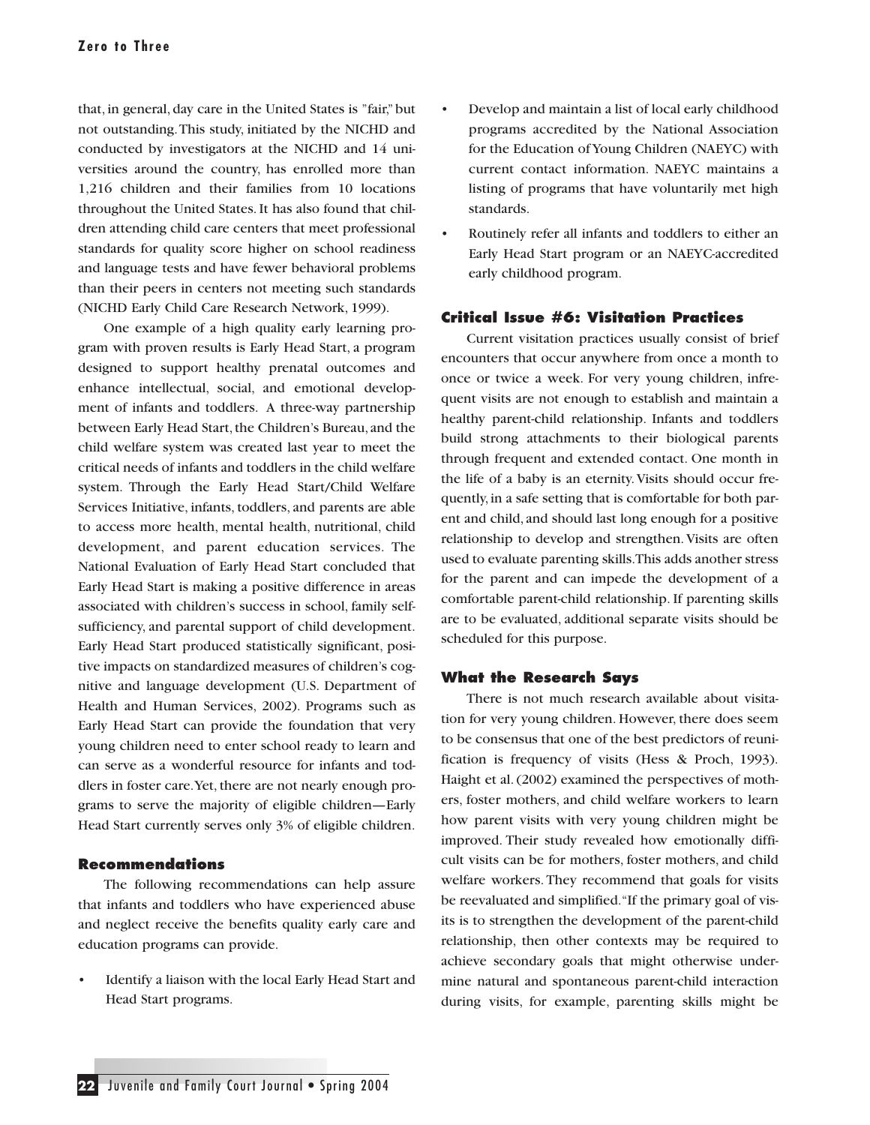that, in general, day care in the United States is "fair,"but not outstanding.This study, initiated by the NICHD and conducted by investigators at the NICHD and 14 universities around the country, has enrolled more than 1,216 children and their families from 10 locations throughout the United States. It has also found that children attending child care centers that meet professional standards for quality score higher on school readiness and language tests and have fewer behavioral problems than their peers in centers not meeting such standards (NICHD Early Child Care Research Network, 1999).

One example of a high quality early learning program with proven results is Early Head Start, a program designed to support healthy prenatal outcomes and enhance intellectual, social, and emotional development of infants and toddlers. A three-way partnership between Early Head Start, the Children's Bureau, and the child welfare system was created last year to meet the critical needs of infants and toddlers in the child welfare system. Through the Early Head Start/Child Welfare Services Initiative, infants, toddlers, and parents are able to access more health, mental health, nutritional, child development, and parent education services. The National Evaluation of Early Head Start concluded that Early Head Start is making a positive difference in areas associated with children's success in school, family selfsufficiency, and parental support of child development. Early Head Start produced statistically significant, positive impacts on standardized measures of children's cognitive and language development (U.S. Department of Health and Human Services, 2002). Programs such as Early Head Start can provide the foundation that very young children need to enter school ready to learn and can serve as a wonderful resource for infants and toddlers in foster care.Yet, there are not nearly enough programs to serve the majority of eligible children—Early Head Start currently serves only 3% of eligible children.

#### **Recommendations**

The following recommendations can help assure that infants and toddlers who have experienced abuse and neglect receive the benefits quality early care and education programs can provide.

Identify a liaison with the local Early Head Start and Head Start programs.

- Develop and maintain a list of local early childhood programs accredited by the National Association for the Education of Young Children (NAEYC) with current contact information. NAEYC maintains a listing of programs that have voluntarily met high standards.
- Routinely refer all infants and toddlers to either an Early Head Start program or an NAEYC-accredited early childhood program.

#### **Critical Issue #6: Visitation Practices**

Current visitation practices usually consist of brief encounters that occur anywhere from once a month to once or twice a week. For very young children, infrequent visits are not enough to establish and maintain a healthy parent-child relationship. Infants and toddlers build strong attachments to their biological parents through frequent and extended contact. One month in the life of a baby is an eternity. Visits should occur frequently,in a safe setting that is comfortable for both parent and child, and should last long enough for a positive relationship to develop and strengthen. Visits are often used to evaluate parenting skills.This adds another stress for the parent and can impede the development of a comfortable parent-child relationship. If parenting skills are to be evaluated, additional separate visits should be scheduled for this purpose.

#### **What the Research Says**

There is not much research available about visitation for very young children. However, there does seem to be consensus that one of the best predictors of reunification is frequency of visits (Hess & Proch, 1993). Haight et al. (2002) examined the perspectives of mothers, foster mothers, and child welfare workers to learn how parent visits with very young children might be improved. Their study revealed how emotionally difficult visits can be for mothers, foster mothers, and child welfare workers. They recommend that goals for visits be reevaluated and simplified."If the primary goal of visits is to strengthen the development of the parent-child relationship, then other contexts may be required to achieve secondary goals that might otherwise undermine natural and spontaneous parent-child interaction during visits, for example, parenting skills might be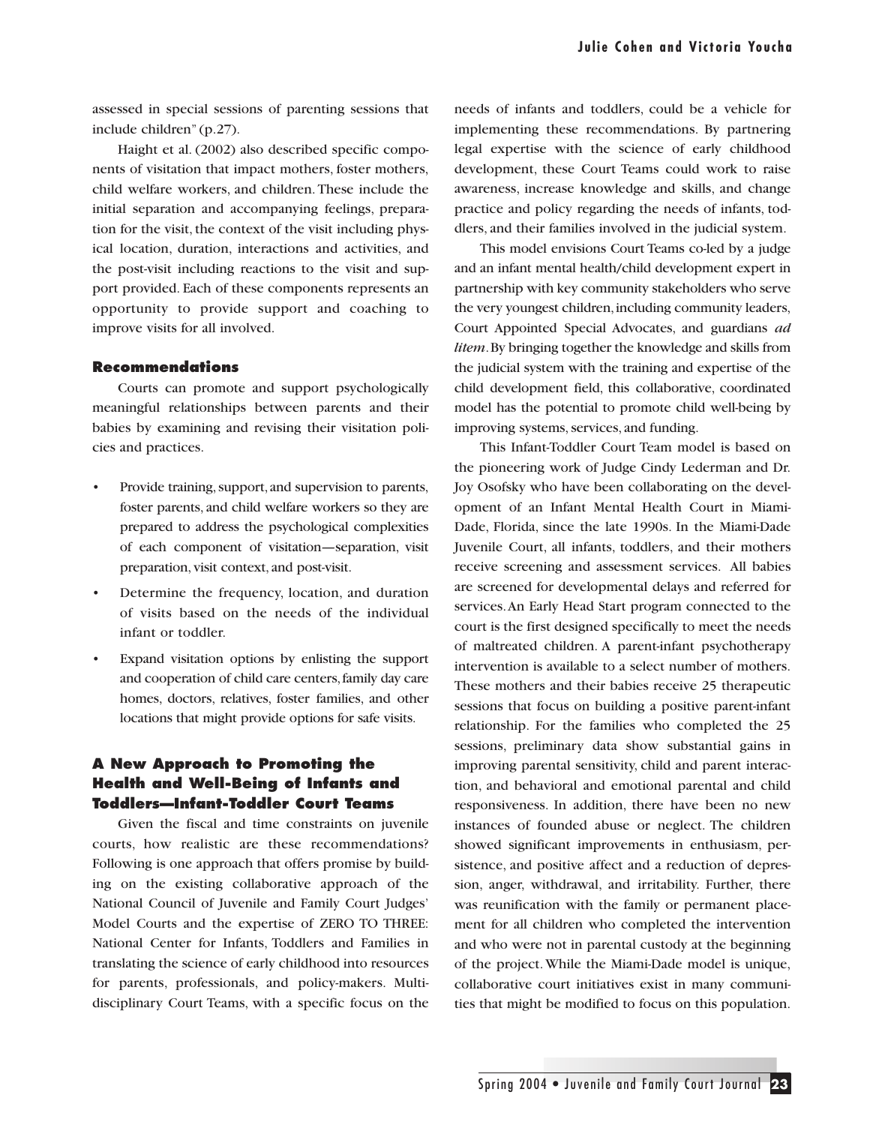assessed in special sessions of parenting sessions that include children" (p.27).

Haight et al. (2002) also described specific components of visitation that impact mothers, foster mothers, child welfare workers, and children. These include the initial separation and accompanying feelings, preparation for the visit, the context of the visit including physical location, duration, interactions and activities, and the post-visit including reactions to the visit and support provided. Each of these components represents an opportunity to provide support and coaching to improve visits for all involved.

#### **Recommendations**

Courts can promote and support psychologically meaningful relationships between parents and their babies by examining and revising their visitation policies and practices.

- Provide training, support, and supervision to parents, foster parents, and child welfare workers so they are prepared to address the psychological complexities of each component of visitation—separation, visit preparation, visit context, and post-visit.
- Determine the frequency, location, and duration of visits based on the needs of the individual infant or toddler.
- Expand visitation options by enlisting the support and cooperation of child care centers, family day care homes, doctors, relatives, foster families, and other locations that might provide options for safe visits.

# **A New Approach to Promoting the Health and Well-Being of Infants and Toddlers—Infant-Toddler Court Teams**

Given the fiscal and time constraints on juvenile courts, how realistic are these recommendations? Following is one approach that offers promise by building on the existing collaborative approach of the National Council of Juvenile and Family Court Judges' Model Courts and the expertise of ZERO TO THREE: National Center for Infants, Toddlers and Families in translating the science of early childhood into resources for parents, professionals, and policy-makers. Multidisciplinary Court Teams, with a specific focus on the

needs of infants and toddlers, could be a vehicle for implementing these recommendations. By partnering legal expertise with the science of early childhood development, these Court Teams could work to raise awareness, increase knowledge and skills, and change practice and policy regarding the needs of infants, toddlers, and their families involved in the judicial system.

This model envisions Court Teams co-led by a judge and an infant mental health/child development expert in partnership with key community stakeholders who serve the very youngest children, including community leaders, Court Appointed Special Advocates, and guardians *ad litem*.By bringing together the knowledge and skills from the judicial system with the training and expertise of the child development field, this collaborative, coordinated model has the potential to promote child well-being by improving systems, services, and funding.

This Infant-Toddler Court Team model is based on the pioneering work of Judge Cindy Lederman and Dr. Joy Osofsky who have been collaborating on the development of an Infant Mental Health Court in Miami-Dade, Florida, since the late 1990s. In the Miami-Dade Juvenile Court, all infants, toddlers, and their mothers receive screening and assessment services. All babies are screened for developmental delays and referred for services.An Early Head Start program connected to the court is the first designed specifically to meet the needs of maltreated children. A parent-infant psychotherapy intervention is available to a select number of mothers. These mothers and their babies receive 25 therapeutic sessions that focus on building a positive parent-infant relationship. For the families who completed the 25 sessions, preliminary data show substantial gains in improving parental sensitivity, child and parent interaction, and behavioral and emotional parental and child responsiveness. In addition, there have been no new instances of founded abuse or neglect. The children showed significant improvements in enthusiasm, persistence, and positive affect and a reduction of depression, anger, withdrawal, and irritability. Further, there was reunification with the family or permanent placement for all children who completed the intervention and who were not in parental custody at the beginning of the project. While the Miami-Dade model is unique, collaborative court initiatives exist in many communities that might be modified to focus on this population.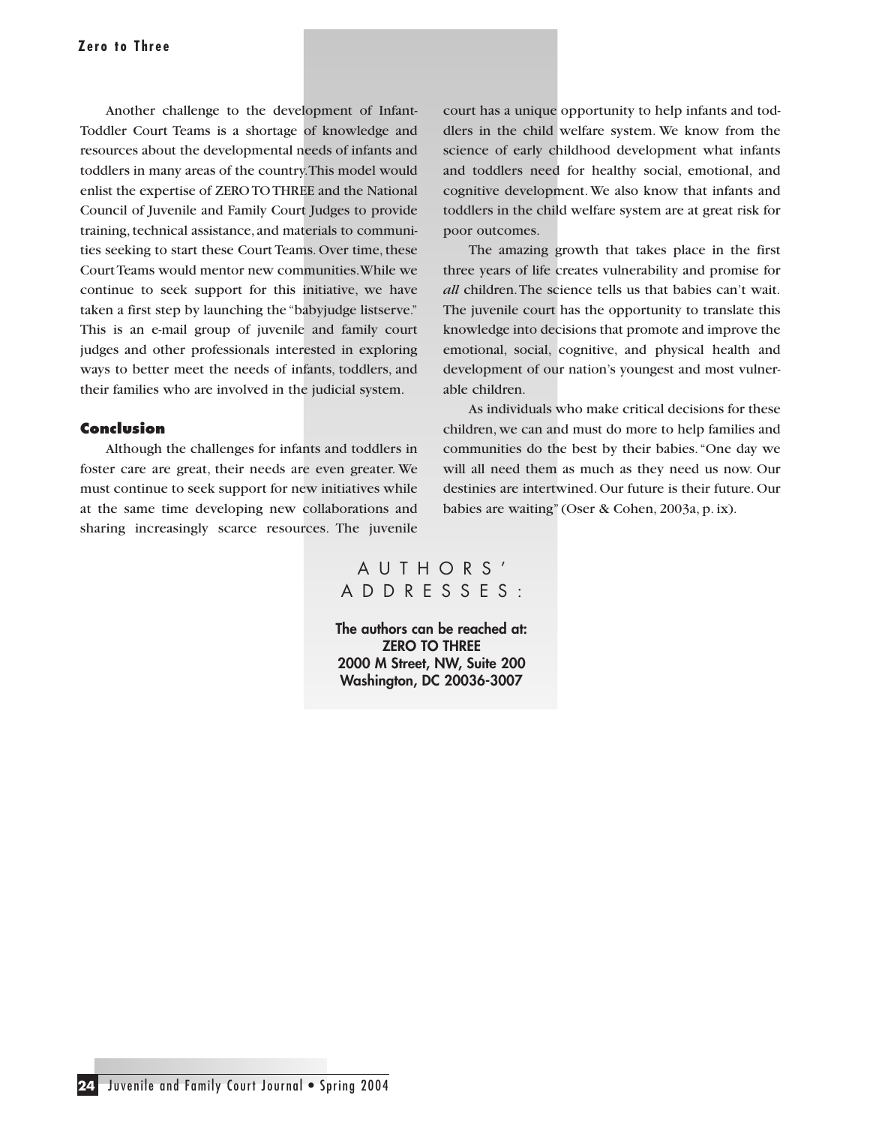Another challenge to the development of Infant-Toddler Court Teams is a shortage of knowledge and resources about the developmental needs of infants and toddlers in many areas of the country.This model would enlist the expertise of ZERO TO THREE and the National Council of Juvenile and Family Court Judges to provide training, technical assistance, and materials to communities seeking to start these Court Teams. Over time, these Court Teams would mentor new communities.While we continue to seek support for this initiative, we have taken a first step by launching the "babyjudge listserve." This is an e-mail group of juvenile and family court judges and other professionals interested in exploring ways to better meet the needs of infants, toddlers, and their families who are involved in the judicial system.

#### **Conclusion**

Although the challenges for infants and toddlers in foster care are great, their needs are even greater. We must continue to seek support for new initiatives while at the same time developing new collaborations and sharing increasingly scarce resources. The juvenile

court has a unique opportunity to help infants and toddlers in the child welfare system. We know from the science of early childhood development what infants and toddlers need for healthy social, emotional, and cognitive development. We also know that infants and toddlers in the child welfare system are at great risk for poor outcomes.

The amazing growth that takes place in the first three years of life creates vulnerability and promise for *all* children.The science tells us that babies can't wait. The juvenile court has the opportunity to translate this knowledge into decisions that promote and improve the emotional, social, cognitive, and physical health and development of our nation's youngest and most vulnerable children.

As individuals who make critical decisions for these children, we can and must do more to help families and communities do the best by their babies."One day we will all need them as much as they need us now. Our destinies are intertwined. Our future is their future. Our babies are waiting" (Oser & Cohen, 2003a, p. ix).

# AUTHORS ' ADDRESSES:

**The authors can be reached at: ZERO TO THREE 2000 M Street, NW, Suite 200 Washington, DC 20036-3007**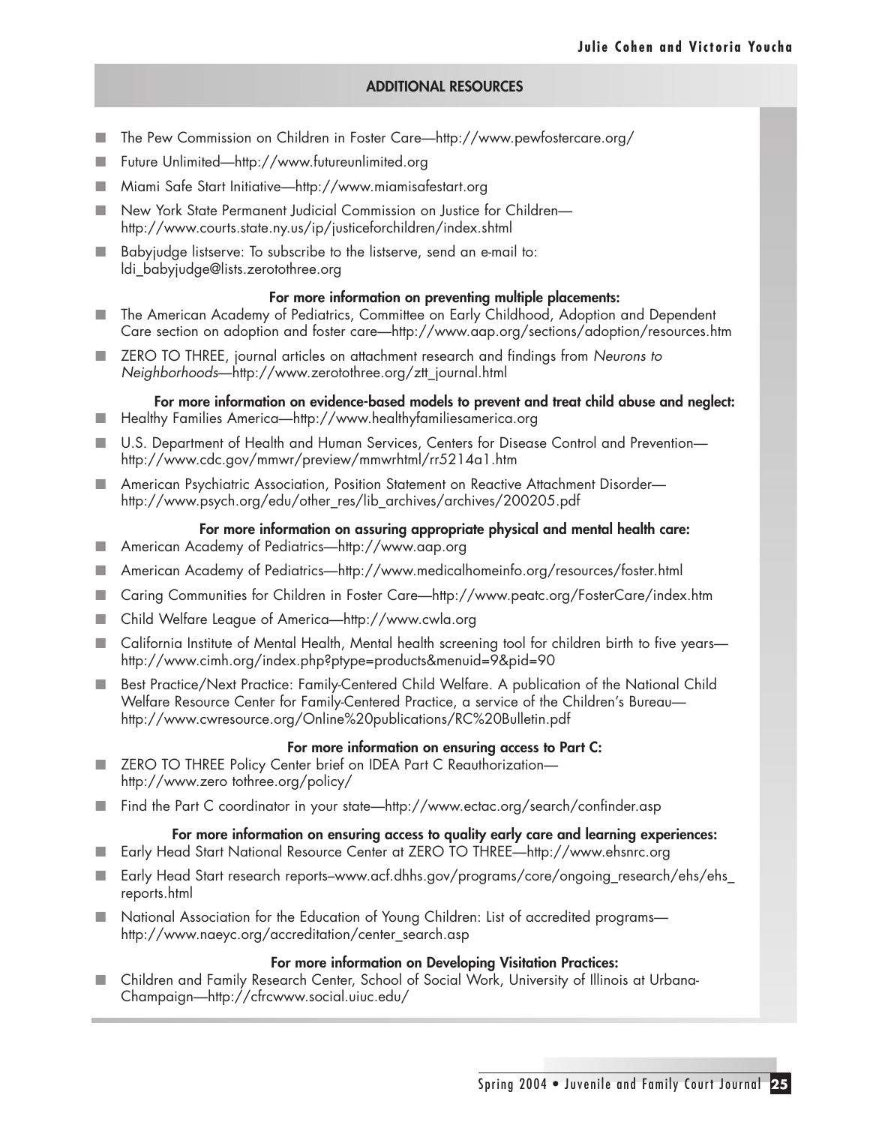#### **ADDITIONAL RESOURCES**

- The Pew Commission on Children in Foster Care—http://www.pewfostercare.org/
- Future Unlimited—http://www.futureunlimited.org
- Miami Safe Start Initiative—http://www.miamisafestart.org
- New York State Permanent Judicial Commission on Justice for Childrenhttp://www.courts.state.ny.us/ip/justiceforchildren/index.shtml
- Babyjudge listserve: To subscribe to the listserve, send an e-mail to: ldi\_babyjudge@lists.zerotothree.org

#### **For more information on preventing multiple placements:**

- The American Academy of Pediatrics, Committee on Early Childhood, Adoption and Dependent Care section on adoption and foster care—http://www.aap.org/sections/adoption/resources.htm
- ZERO TO THREE, journal articles on attachment research and findings from *Neurons to Neighborhoods*—http://www.zerotothree.org/ztt\_journal.html

#### **For more information on evidence-based models to prevent and treat child abuse and neglect:**

- Healthy Families America—http://www.healthyfamiliesamerica.org
- U.S. Department of Health and Human Services, Centers for Disease Control and Prevention http://www.cdc.gov/mmwr/preview/mmwrhtml/rr5214a1.htm
- American Psychiatric Association, Position Statement on Reactive Attachment Disorder http://www.psych.org/edu/other\_res/lib\_archives/archives/200205.pdf

#### **For more information on assuring appropriate physical and mental health care:**

- American Academy of Pediatrics—http://www.aap.org
- American Academy of Pediatrics—http://www.medicalhomeinfo.org/resources/foster.html
- Caring Communities for Children in Foster Care—http://www.peatc.org/FosterCare/index.htm
- Child Welfare League of America—http://www.cwla.org
- California Institute of Mental Health, Mental health screening tool for children birth to five years http://www.cimh.org/index.php?ptype=products&menuid=9&pid=90
- Best Practice/Next Practice: Family-Centered Child Welfare. A publication of the National Child Welfare Resource Center for Family-Centered Practice, a service of the Children's Bureau http://www.cwresource.org/Online%20publications/RC%20Bulletin.pdf

#### **For more information on ensuring access to Part C:**

- ZERO TO THREE Policy Center brief on IDEA Part C Reauthorizationhttp://www.zero tothree.org/policy/
- Find the Part C coordinator in your state—http://www.ectac.org/search/confinder.asp

#### **For more information on ensuring access to quality early care and learning experiences:**

- Early Head Start National Resource Center at ZERO TO THREE—http://www.ehsnrc.org
- Early Head Start research reports–www.acf.dhhs.gov/programs/core/ongoing\_research/ehs/ehs\_ reports.html
- National Association for the Education of Young Children: List of accredited programs http://www.naeyc.org/accreditation/center\_search.asp

#### **For more information on Developing Visitation Practices:**

■ Children and Family Research Center, School of Social Work, University of Illinois at Urbana-Champaign—http://cfrcwww.social.uiuc.edu/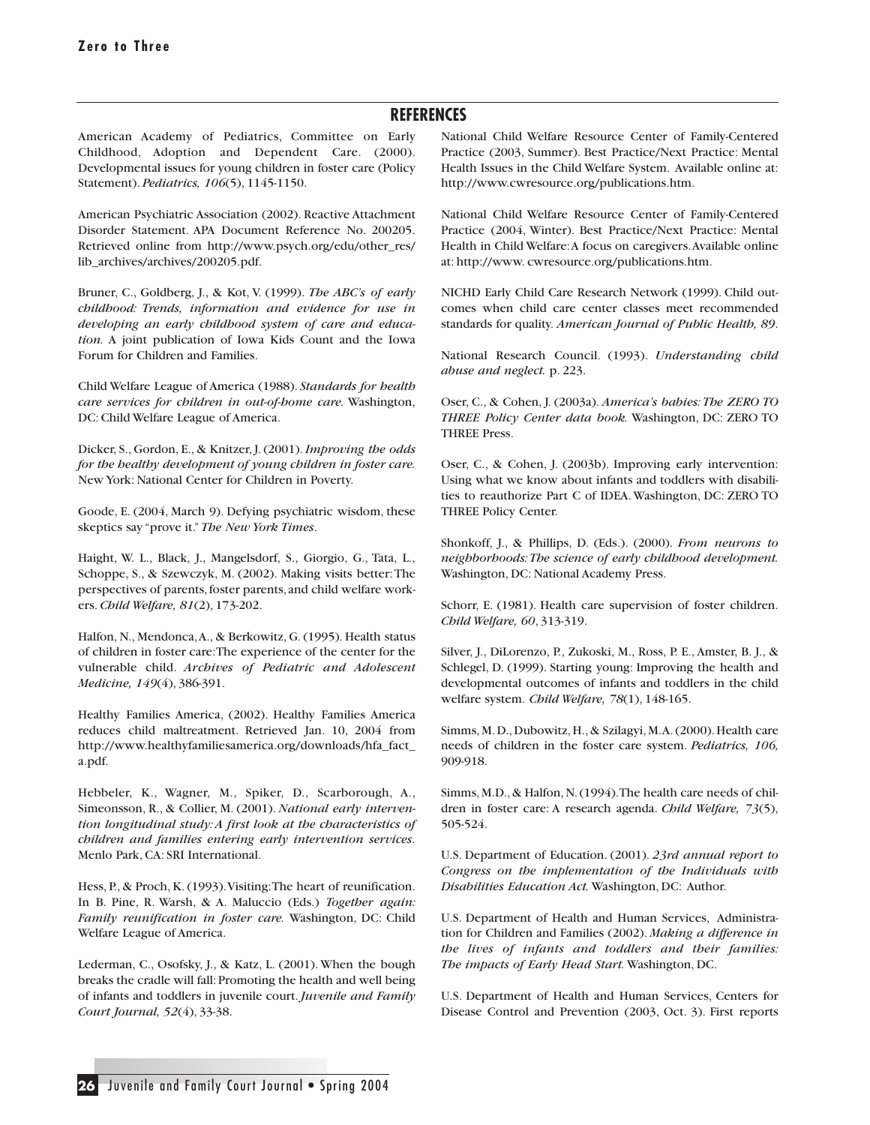# **REFERENCES**

American Academy of Pediatrics, Committee on Early Childhood, Adoption and Dependent Care. (2000). Developmental issues for young children in foster care (Policy Statement). *Pediatrics, 106*(5), 1145-1150.

American Psychiatric Association (2002). Reactive Attachment Disorder Statement. APA Document Reference No. 200205. Retrieved online from http://www.psych.org/edu/other\_res/ lib\_archives/archives/200205.pdf.

Bruner, C., Goldberg, J., & Kot, V. (1999). *The ABC's of early childhood: Trends, information and evidence for use in developing an early childhood system of care and education.* A joint publication of Iowa Kids Count and the Iowa Forum for Children and Families.

Child Welfare League of America (1988). *Standards for health care services for children in out-of-home care.* Washington, DC: Child Welfare League of America.

Dicker, S., Gordon, E., & Knitzer, J. (2001).*Improving the odds for the healthy development of young children in foster care.* New York: National Center for Children in Poverty.

Goode, E. (2004, March 9). Defying psychiatric wisdom, these skeptics say "prove it." *The New York Times*.

Haight, W. L., Black, J., Mangelsdorf, S., Giorgio, G., Tata, L., Schoppe, S., & Szewczyk, M. (2002). Making visits better:The perspectives of parents, foster parents, and child welfare workers. *Child Welfare, 81*(2), 173-202.

Halfon, N., Mendonca,A., & Berkowitz, G. (1995). Health status of children in foster care:The experience of the center for the vulnerable child. *Archives of Pediatric and Adolescent Medicine, 149*(4), 386-391.

Healthy Families America, (2002). Healthy Families America reduces child maltreatment. Retrieved Jan. 10, 2004 from http://www.healthyfamiliesamerica.org/downloads/hfa\_fact\_ a.pdf.

Hebbeler, K., Wagner, M., Spiker, D., Scarborough, A., Simeonsson, R., & Collier, M. (2001). *National early intervention longitudinal study: A first look at the characteristics of children and families entering early intervention services*. Menlo Park, CA: SRI International.

Hess, P., & Proch, K. (1993). Visiting: The heart of reunification. In B. Pine, R. Warsh, & A. Maluccio (Eds.) *Together again: Family reunification in foster care.* Washington, DC: Child Welfare League of America.

Lederman, C., Osofsky, J., & Katz, L. (2001). When the bough breaks the cradle will fall: Promoting the health and well being of infants and toddlers in juvenile court. *Juvenile and Family Court Journal, 52*(4), 33-38.

National Child Welfare Resource Center of Family-Centered Practice (2003, Summer). Best Practice/Next Practice: Mental Health Issues in the Child Welfare System. Available online at: http://www.cwresource.org/publications.htm.

National Child Welfare Resource Center of Family-Centered Practice (2004, Winter). Best Practice/Next Practice: Mental Health in Child Welfare:A focus on caregivers.Available online at: http://www. cwresource.org/publications.htm.

NICHD Early Child Care Research Network (1999). Child outcomes when child care center classes meet recommended standards for quality. *American Journal of Public Health, 89*.

National Research Council. (1993). *Understanding child abuse and neglect.* p. 223.

Oser, C., & Cohen, J. (2003a). *America's babies: The ZERO TO THREE Policy Center data book.* Washington, DC: ZERO TO THREE Press.

Oser, C., & Cohen, J. (2003b). Improving early intervention: Using what we know about infants and toddlers with disabilities to reauthorize Part C of IDEA.Washington, DC: ZERO TO THREE Policy Center.

Shonkoff, J., & Phillips, D. (Eds.). (2000). *From neurons to neighborhoods:The science of early childhood development.* Washington, DC: National Academy Press.

Schorr, E. (1981). Health care supervision of foster children. *Child Welfare, 60*, 313-319.

Silver, J., DiLorenzo, P., Zukoski, M., Ross, P. E., Amster, B. J., & Schlegel, D. (1999). Starting young: Improving the health and developmental outcomes of infants and toddlers in the child welfare system. *Child Welfare, 78*(1), 148-165.

Simms, M. D., Dubowitz, H., & Szilagyi, M.A. (2000). Health care needs of children in the foster care system. *Pediatrics, 106,* 909-918.

Simms, M.D., & Halfon, N. (1994). The health care needs of children in foster care: A research agenda. *Child Welfare, 73*(5), 505-524.

U.S. Department of Education. (2001). *23rd annual report to Congress on the implementation of the Individuals with Disabilities Education Act.* Washington, DC: Author.

U.S. Department of Health and Human Services, Administration for Children and Families (2002). *Making a difference in the lives of infants and toddlers and their families: The impacts of Early Head Start.* Washington, DC.

U.S. Department of Health and Human Services, Centers for Disease Control and Prevention (2003, Oct. 3). First reports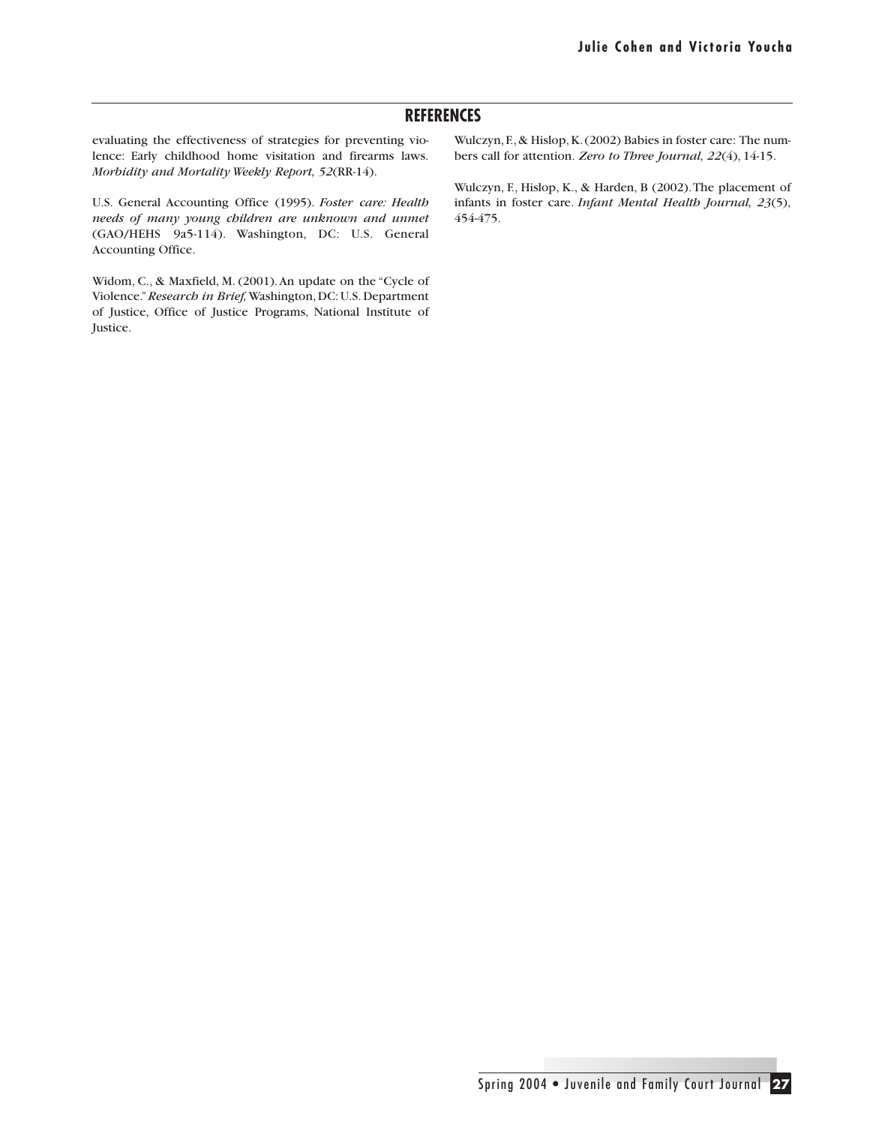#### **REFERENCES**

evaluating the effectiveness of strategies for preventing violence: Early childhood home visitation and firearms laws. *Morbidity and Mortality Weekly Report, 52*(RR-14).

U.S. General Accounting Office (1995). *Foster care: Health needs of many young children are unknown and unmet* (GAO/HEHS 9a5-114). Washington, DC: U.S. General Accounting Office.

Widom, C., & Maxfield, M. (2001).An update on the "Cycle of Violence."*Research in Brief,*Washington, DC: U.S. Department of Justice, Office of Justice Programs, National Institute of Justice.

Wulczyn,F.,& Hislop,K.(2002) Babies in foster care: The numbers call for attention. *Zero to Three Journal, 22*(4), 14-15.

Wulczyn, F., Hislop, K., & Harden, B (2002).The placement of infants in foster care. *Infant Mental Health Journal, 23*(5), 454-475.